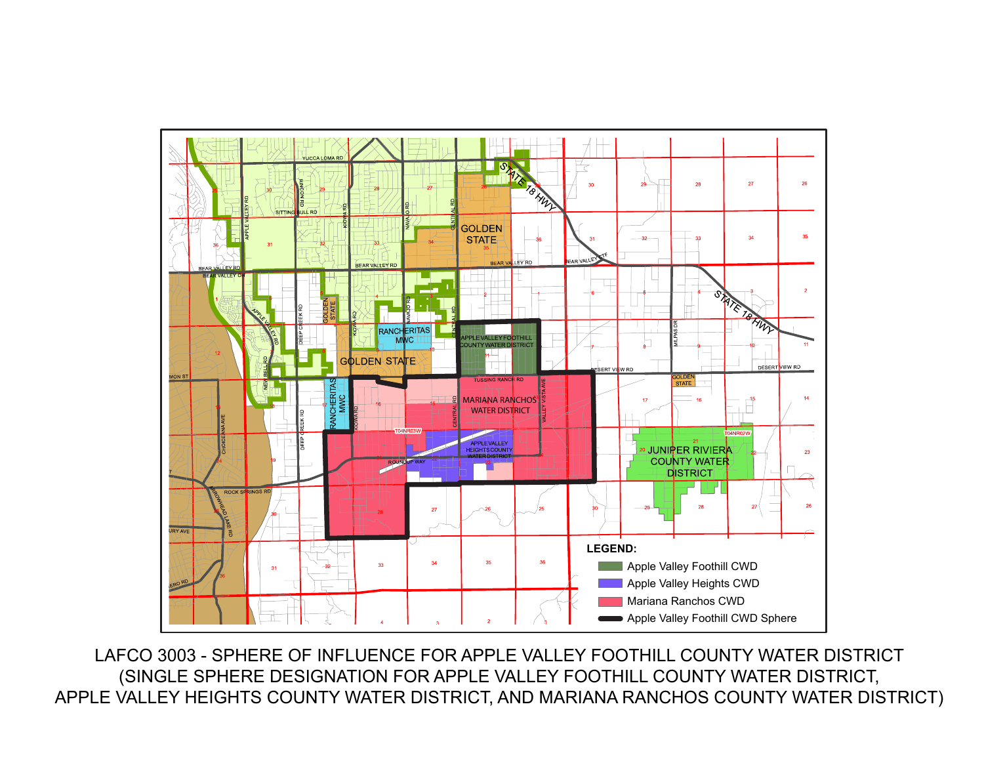

LAFCO 3003 - SPHERE OF INFLUENCE FOR APPLE VALLEY FOOTHILL COUNTY WATER DISTRICT (SINGLE SPHERE DESIGNATION FOR APPLE VALLEY FOOTHILL COUNTY WATER DISTRICT, APPLE VALLEY HEIGHTS COUNTY WATER DISTRICT, AND MARIANA RANCHOS COUNTY WATER DISTRICT)